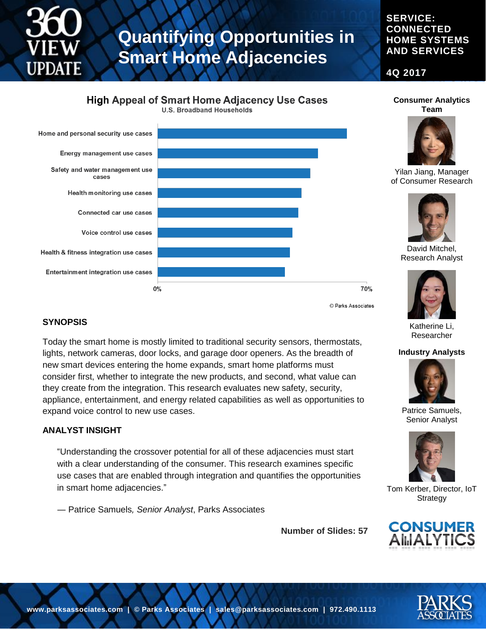**SYNOPSIS**

**ANALYST INSIGHT**

expand voice control to new use cases.

in smart home adjacencies."

― Patrice Samuels*, Senior Analyst*, Parks Associates

# **Quantifying Opportunities in Smart Home Adjacencies**

#### **SERVICE: CONNECTED HOME SYSTEMS AND SERVICES**

**4Q 2017**

### **High Appeal of Smart Home Adjacency Use Cases**

**U.S. Broadband Households** 



Today the smart home is mostly limited to traditional security sensors, thermostats, lights, network cameras, door locks, and garage door openers. As the breadth of new smart devices entering the home expands, smart home platforms must consider first, whether to integrate the new products, and second, what value can they create from the integration. This research evaluates new safety, security, appliance, entertainment, and energy related capabilities as well as opportunities to

"Understanding the crossover potential for all of these adjacencies must start with a clear understanding of the consumer. This research examines specific use cases that are enabled through integration and quantifies the opportunities



**Consumer Analytics Team**

Yilan Jiang, Manager of Consumer Research



David Mitchel, Research Analyst

70%



Patrice Samuels, Senior Analyst



Tom Kerber, Director, IoT Strategy



**Number of Slides: 57**

Katherine Li, Researcher

#### **Industry Analysts**



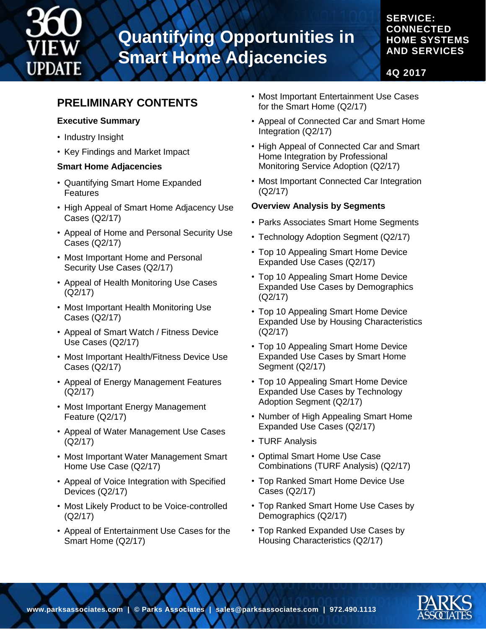

## **Quantifying Opportunities in Smart Home Adjacencies**

### **SERVICE: CONNECTED HOME SYSTEMS AND SERVICES**

**4Q 2017**

### **PRELIMINARY CONTENTS**

#### **Executive Summary**

- Industry Insight
- Key Findings and Market Impact

#### **Smart Home Adjacencies**

- Quantifying Smart Home Expanded Features
- High Appeal of Smart Home Adjacency Use Cases (Q2/17)
- Appeal of Home and Personal Security Use Cases (Q2/17)
- Most Important Home and Personal Security Use Cases (Q2/17)
- Appeal of Health Monitoring Use Cases (Q2/17)
- Most Important Health Monitoring Use Cases (Q2/17)
- Appeal of Smart Watch / Fitness Device Use Cases (Q2/17)
- Most Important Health/Fitness Device Use Cases (Q2/17)
- Appeal of Energy Management Features (Q2/17)
- Most Important Energy Management Feature (Q2/17)
- Appeal of Water Management Use Cases (Q2/17)
- Most Important Water Management Smart Home Use Case (Q2/17)
- Appeal of Voice Integration with Specified Devices (Q2/17)
- Most Likely Product to be Voice-controlled (Q2/17)
- Appeal of Entertainment Use Cases for the Smart Home (Q2/17)
- Most Important Entertainment Use Cases for the Smart Home (Q2/17)
- Appeal of Connected Car and Smart Home Integration (Q2/17)
- High Appeal of Connected Car and Smart Home Integration by Professional Monitoring Service Adoption (Q2/17)
- Most Important Connected Car Integration (Q2/17)

#### **Overview Analysis by Segments**

- Parks Associates Smart Home Segments
- Technology Adoption Segment (Q2/17)
- Top 10 Appealing Smart Home Device Expanded Use Cases (Q2/17)
- Top 10 Appealing Smart Home Device Expanded Use Cases by Demographics (Q2/17)
- Top 10 Appealing Smart Home Device Expanded Use by Housing Characteristics (Q2/17)
- Top 10 Appealing Smart Home Device Expanded Use Cases by Smart Home Segment (Q2/17)
- Top 10 Appealing Smart Home Device Expanded Use Cases by Technology Adoption Segment (Q2/17)
- Number of High Appealing Smart Home Expanded Use Cases (Q2/17)
- TURF Analysis
- Optimal Smart Home Use Case Combinations (TURF Analysis) (Q2/17)
- Top Ranked Smart Home Device Use Cases (Q2/17)
- Top Ranked Smart Home Use Cases by Demographics (Q2/17)
- Top Ranked Expanded Use Cases by Housing Characteristics (Q2/17)

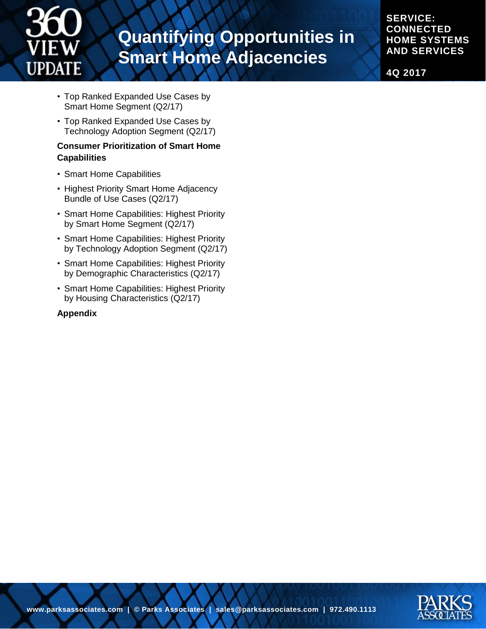

# **Quantifying Opportunities in Smart Home Adjacencies**

**SERVICE: CONNECTED HOME SYSTEMS AND SERVICES**

**4Q 2017**

- Top Ranked Expanded Use Cases by Smart Home Segment (Q2/17)
- Top Ranked Expanded Use Cases by Technology Adoption Segment (Q2/17)

#### **Consumer Prioritization of Smart Home Capabilities**

- Smart Home Capabilities
- Highest Priority Smart Home Adjacency Bundle of Use Cases (Q2/17)
- Smart Home Capabilities: Highest Priority by Smart Home Segment (Q2/17)
- Smart Home Capabilities: Highest Priority by Technology Adoption Segment (Q2/17)
- Smart Home Capabilities: Highest Priority by Demographic Characteristics (Q2/17)
- Smart Home Capabilities: Highest Priority by Housing Characteristics (Q2/17)

#### **Appendix**